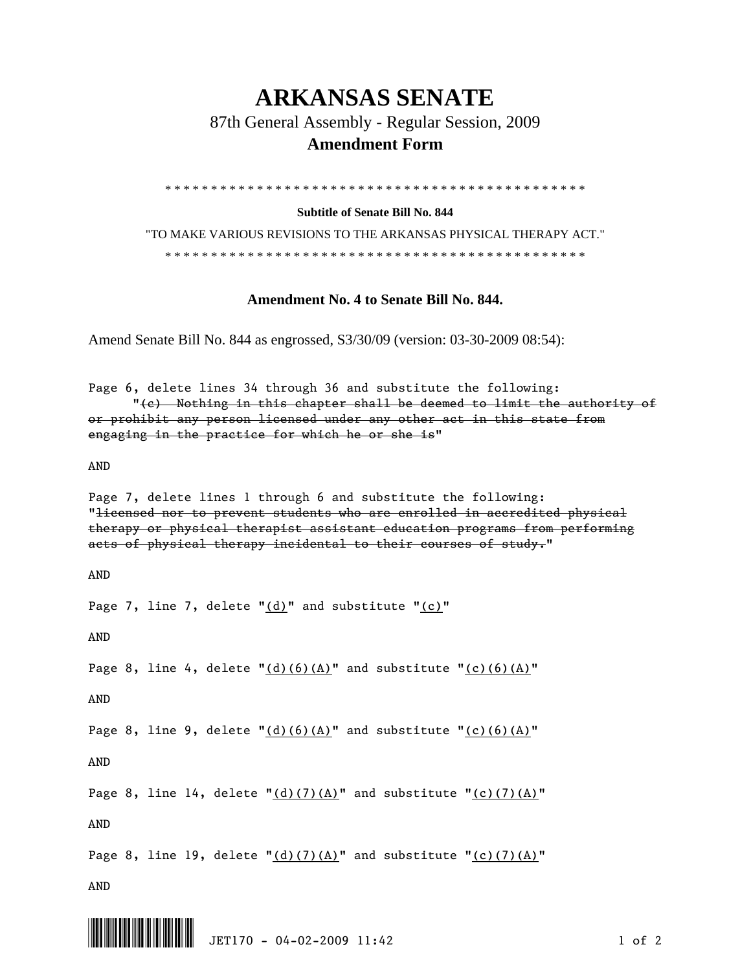## **ARKANSAS SENATE**

87th General Assembly - Regular Session, 2009

## **Amendment Form**

\* \* \* \* \* \* \* \* \* \* \* \* \* \* \* \* \* \* \* \* \* \* \* \* \* \* \* \* \* \* \* \* \* \* \* \* \* \* \* \* \* \* \* \* \* \*

**Subtitle of Senate Bill No. 844** 

"TO MAKE VARIOUS REVISIONS TO THE ARKANSAS PHYSICAL THERAPY ACT." \* \* \* \* \* \* \* \* \* \* \* \* \* \* \* \* \* \* \* \* \* \* \* \* \* \* \* \* \* \* \* \* \* \* \* \* \* \* \* \* \* \* \* \* \* \*

## **Amendment No. 4 to Senate Bill No. 844.**

Amend Senate Bill No. 844 as engrossed, S3/30/09 (version: 03-30-2009 08:54):

Page 6, delete lines 34 through 36 and substitute the following: "(c) Nothing in this chapter shall be deemed to limit the authority of or prohibit any person licensed under any other act in this state from engaging in the practice for which he or she is"

AND

Page 7, delete lines 1 through 6 and substitute the following: "licensed nor to prevent students who are enrolled in accredited physical therapy or physical therapist assistant education programs from performing acts of physical therapy incidental to their courses of study."

AND

Page 7, line 7, delete " $(d)$ " and substitute " $(c)$ "

AND

Page 8, line 4, delete  $"(\mathrm{d})(6)(\mathrm{A})"$  and substitute  $"(c)(6)(\mathrm{A})"$ 

AND

Page 8, line 9, delete  $"(\underline{d})(6)(A)"$  and substitute  $"(\underline{c})(6)(A)"$ 

AND

Page 8, line 14, delete  $"(\underline{d})(7)(\underline{A})"$  and substitute  $"(\underline{c})(7)(\underline{A})"$ 

AND

Page 8, line 19, delete  $"(\underline{d})(7)(\underline{A})"$  and substitute  $"(\underline{c})(7)(\underline{A})"$ 

AND